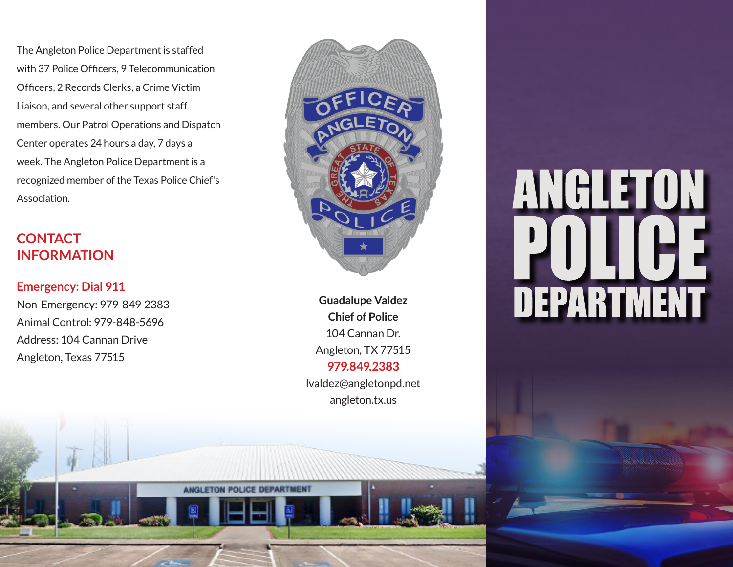The Angleton Police Department is staffed with 37 Police Officers, 9 Telecommunication Officers, 2 Records Clerks, a Crime Victim Liaison, and several other support staff members. Our Patrol Operations and Dispatch Center operates 24 hours a day, 7 days a week. The Angleton Police Department is a recognized member of the Texas Police Chief's Association.

#### **CONTACT INFORMATION**

#### **Emergency: Dial 911**

Non-Emergency: 979-849-2383 Animal Control: 979-848-5696 Address: 104 Cannan Drive Angleton, Texas 77515



**Guadalupe Valdez Chief of Police** 104 Cannan Dr. Angleton, TX 77515 **979.849.2383** lvaldez@angletonpd.net angleton.tx.us

**ANGLETON POLICE DEPARTMENT** 

# ANGLETON **DEPARTMENT**